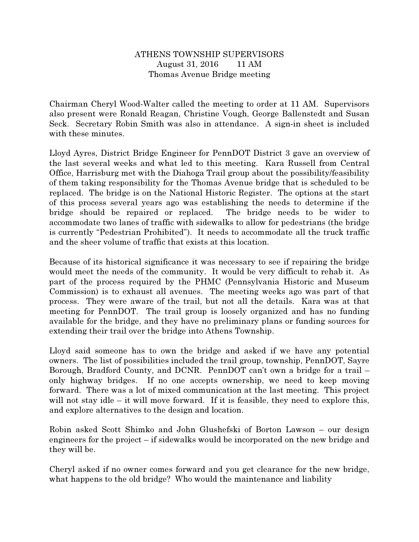## ATHENS TOWNSHIP SUPERVISORS August 31, 2016 11 AM Thomas Avenue Bridge meeting

Chairman Cheryl Wood-Walter called the meeting to order at 11 AM. Supervisors also present were Ronald Reagan, Christine Vough, George Ballenstedt and Susan Seck. Secretary Robin Smith was also in attendance. A sign-in sheet is included with these minutes.

Lloyd Ayres, District Bridge Engineer for PennDOT District 3 gave an overview of the last several weeks and what led to this meeting. Kara Russell from Central Office, Harrisburg met with the Diahoga Trail group about the possibility/feasibility of them taking responsibility for the Thomas Avenue bridge that is scheduled to be replaced. The bridge is on the National Historic Register. The options at the start of this process several years ago was establishing the needs to determine if the bridge should be repaired or replaced. The bridge needs to be wider to accommodate two lanes of traffic with sidewalks to allow for pedestrians (the bridge is currently "Pedestrian Prohibited"). It needs to accommodate all the truck traffic and the sheer volume of traffic that exists at this location.

Because of its historical significance it was necessary to see if repairing the bridge would meet the needs of the community. It would be very difficult to rehab it. As part of the process required by the PHMC (Pennsylvania Historic and Museum Commission) is to exhaust all avenues. The meeting weeks ago was part of that process. They were aware of the trail, but not all the details. Kara was at that meeting for PennDOT. The trail group is loosely organized and has no funding available for the bridge, and they have no preliminary plans or funding sources for extending their trail over the bridge into Athens Township.

Lloyd said someone has to own the bridge and asked if we have any potential owners. The list of possibilities included the trail group, township, PennDOT, Sayre Borough, Bradford County, and DCNR. PennDOT can't own a bridge for a trail – only highway bridges. If no one accepts ownership, we need to keep moving forward. There was a lot of mixed communication at the last meeting. This project will not stay idle  $-$  it will move forward. If it is feasible, they need to explore this, and explore alternatives to the design and location.

Robin asked Scott Shimko and John Glushefski of Borton Lawson – our design engineers for the project – if sidewalks would be incorporated on the new bridge and they will be.

Cheryl asked if no owner comes forward and you get clearance for the new bridge, what happens to the old bridge? Who would the maintenance and liability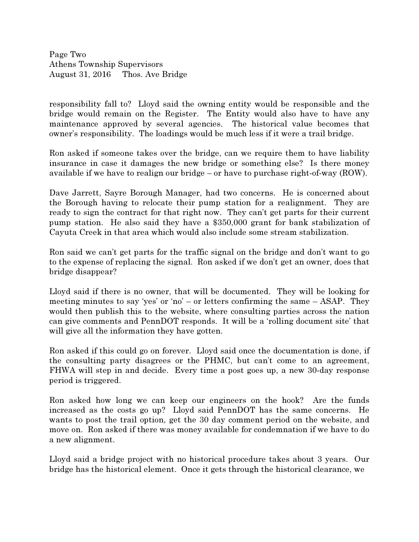Page Two Athens Township Supervisors August 31, 2016 Thos. Ave Bridge

responsibility fall to? Lloyd said the owning entity would be responsible and the bridge would remain on the Register. The Entity would also have to have any maintenance approved by several agencies. The historical value becomes that owner's responsibility. The loadings would be much less if it were a trail bridge.

Ron asked if someone takes over the bridge, can we require them to have liability insurance in case it damages the new bridge or something else? Is there money available if we have to realign our bridge – or have to purchase right-of-way (ROW).

Dave Jarrett, Sayre Borough Manager, had two concerns. He is concerned about the Borough having to relocate their pump station for a realignment. They are ready to sign the contract for that right now. They can't get parts for their current pump station. He also said they have a \$350,000 grant for bank stabilization of Cayuta Creek in that area which would also include some stream stabilization.

Ron said we can't get parts for the traffic signal on the bridge and don't want to go to the expense of replacing the signal. Ron asked if we don't get an owner, does that bridge disappear?

Lloyd said if there is no owner, that will be documented. They will be looking for meeting minutes to say 'yes' or 'no' – or letters confirming the same – ASAP. They would then publish this to the website, where consulting parties across the nation can give comments and PennDOT responds. It will be a 'rolling document site' that will give all the information they have gotten.

Ron asked if this could go on forever. Lloyd said once the documentation is done, if the consulting party disagrees or the PHMC, but can't come to an agreement, FHWA will step in and decide. Every time a post goes up, a new 30-day response period is triggered.

Ron asked how long we can keep our engineers on the hook? Are the funds increased as the costs go up? Lloyd said PennDOT has the same concerns. He wants to post the trail option, get the 30 day comment period on the website, and move on. Ron asked if there was money available for condemnation if we have to do a new alignment.

Lloyd said a bridge project with no historical procedure takes about 3 years. Our bridge has the historical element. Once it gets through the historical clearance, we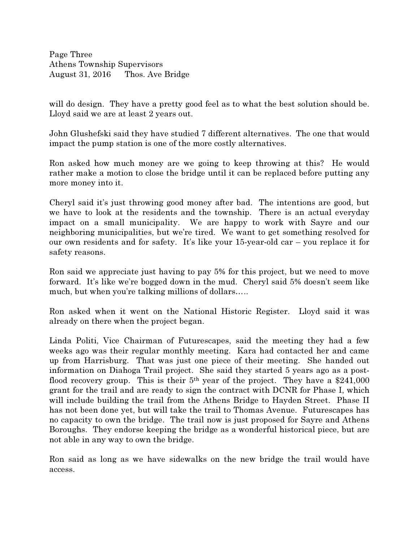Page Three Athens Township Supervisors August 31, 2016 Thos. Ave Bridge

will do design. They have a pretty good feel as to what the best solution should be. Lloyd said we are at least 2 years out.

John Glushefski said they have studied 7 different alternatives. The one that would impact the pump station is one of the more costly alternatives.

Ron asked how much money are we going to keep throwing at this? He would rather make a motion to close the bridge until it can be replaced before putting any more money into it.

Cheryl said it's just throwing good money after bad. The intentions are good, but we have to look at the residents and the township. There is an actual everyday impact on a small municipality. We are happy to work with Sayre and our neighboring municipalities, but we're tired. We want to get something resolved for our own residents and for safety. It's like your 15-year-old car – you replace it for safety reasons.

Ron said we appreciate just having to pay 5% for this project, but we need to move forward. It's like we're bogged down in the mud. Cheryl said 5% doesn't seem like much, but when you're talking millions of dollars.....

Ron asked when it went on the National Historic Register. Lloyd said it was already on there when the project began.

Linda Politi, Vice Chairman of Futurescapes, said the meeting they had a few weeks ago was their regular monthly meeting. Kara had contacted her and came up from Harrisburg. That was just one piece of their meeting. She handed out information on Diahoga Trail project. She said they started 5 years ago as a postflood recovery group. This is their  $5<sup>th</sup>$  year of the project. They have a \$241,000 grant for the trail and are ready to sign the contract with DCNR for Phase I, which will include building the trail from the Athens Bridge to Hayden Street. Phase II has not been done yet, but will take the trail to Thomas Avenue. Futurescapes has no capacity to own the bridge. The trail now is just proposed for Sayre and Athens Boroughs. They endorse keeping the bridge as a wonderful historical piece, but are not able in any way to own the bridge.

Ron said as long as we have sidewalks on the new bridge the trail would have access.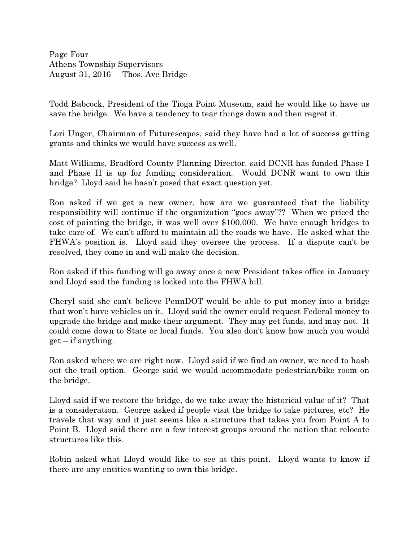Page Four Athens Township Supervisors August 31, 2016 Thos. Ave Bridge

Todd Babcock, President of the Tioga Point Museum, said he would like to have us save the bridge. We have a tendency to tear things down and then regret it.

Lori Unger, Chairman of Futurescapes, said they have had a lot of success getting grants and thinks we would have success as well.

Matt Williams, Bradford County Planning Director, said DCNR has funded Phase I and Phase II is up for funding consideration. Would DCNR want to own this bridge? Lloyd said he hasn't posed that exact question yet.

Ron asked if we get a new owner, how are we guaranteed that the liability responsibility will continue if the organization "goes away"?? When we priced the cost of painting the bridge, it was well over \$100,000. We have enough bridges to take care of. We can't afford to maintain all the roads we have. He asked what the FHWA's position is. Lloyd said they oversee the process. If a dispute can't be resolved, they come in and will make the decision.

Ron asked if this funding will go away once a new President takes office in January and Lloyd said the funding is locked into the FHWA bill.

Cheryl said she can't believe PennDOT would be able to put money into a bridge that won't have vehicles on it. Lloyd said the owner could request Federal money to upgrade the bridge and make their argument. They may get funds, and may not. It could come down to State or local funds. You also don't know how much you would  $get - if$  anything.

Ron asked where we are right now. Lloyd said if we find an owner, we need to hash out the trail option. George said we would accommodate pedestrian/bike room on the bridge.

Lloyd said if we restore the bridge, do we take away the historical value of it? That is a consideration. George asked if people visit the bridge to take pictures, etc? He travels that way and it just seems like a structure that takes you from Point A to Point B. Lloyd said there are a few interest groups around the nation that relocate structures like this.

Robin asked what Lloyd would like to see at this point. Lloyd wants to know if there are any entities wanting to own this bridge.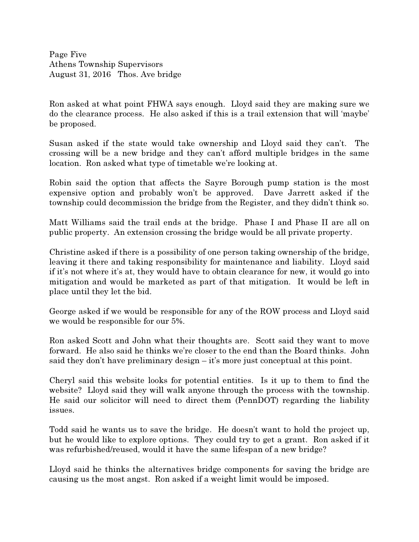Page Five Athens Township Supervisors August 31, 2016 Thos. Ave bridge

Ron asked at what point FHWA says enough. Lloyd said they are making sure we do the clearance process. He also asked if this is a trail extension that will 'maybe' be proposed.

Susan asked if the state would take ownership and Lloyd said they can't. The crossing will be a new bridge and they can't afford multiple bridges in the same location. Ron asked what type of timetable we're looking at.

Robin said the option that affects the Sayre Borough pump station is the most expensive option and probably won't be approved. Dave Jarrett asked if the township could decommission the bridge from the Register, and they didn't think so.

Matt Williams said the trail ends at the bridge. Phase I and Phase II are all on public property. An extension crossing the bridge would be all private property.

Christine asked if there is a possibility of one person taking ownership of the bridge, leaving it there and taking responsibility for maintenance and liability. Lloyd said if it's not where it's at, they would have to obtain clearance for new, it would go into mitigation and would be marketed as part of that mitigation. It would be left in place until they let the bid.

George asked if we would be responsible for any of the ROW process and Lloyd said we would be responsible for our 5%.

Ron asked Scott and John what their thoughts are. Scott said they want to move forward. He also said he thinks we're closer to the end than the Board thinks. John said they don't have preliminary design – it's more just conceptual at this point.

Cheryl said this website looks for potential entities. Is it up to them to find the website? Lloyd said they will walk anyone through the process with the township. He said our solicitor will need to direct them (PennDOT) regarding the liability issues.

Todd said he wants us to save the bridge. He doesn't want to hold the project up, but he would like to explore options. They could try to get a grant. Ron asked if it was refurbished/reused, would it have the same lifespan of a new bridge?

Lloyd said he thinks the alternatives bridge components for saving the bridge are causing us the most angst. Ron asked if a weight limit would be imposed.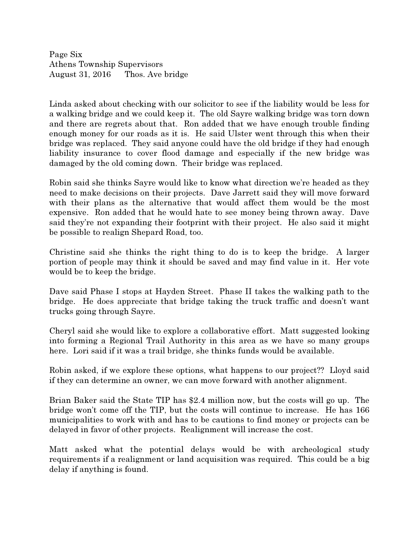Page Six Athens Township Supervisors August 31, 2016 Thos. Ave bridge

Linda asked about checking with our solicitor to see if the liability would be less for a walking bridge and we could keep it. The old Sayre walking bridge was torn down and there are regrets about that. Ron added that we have enough trouble finding enough money for our roads as it is. He said Ulster went through this when their bridge was replaced. They said anyone could have the old bridge if they had enough liability insurance to cover flood damage and especially if the new bridge was damaged by the old coming down. Their bridge was replaced.

Robin said she thinks Sayre would like to know what direction we're headed as they need to make decisions on their projects. Dave Jarrett said they will move forward with their plans as the alternative that would affect them would be the most expensive. Ron added that he would hate to see money being thrown away. Dave said they're not expanding their footprint with their project. He also said it might be possible to realign Shepard Road, too.

Christine said she thinks the right thing to do is to keep the bridge. A larger portion of people may think it should be saved and may find value in it. Her vote would be to keep the bridge.

Dave said Phase I stops at Hayden Street. Phase II takes the walking path to the bridge. He does appreciate that bridge taking the truck traffic and doesn't want trucks going through Sayre.

Cheryl said she would like to explore a collaborative effort. Matt suggested looking into forming a Regional Trail Authority in this area as we have so many groups here. Lori said if it was a trail bridge, she thinks funds would be available.

Robin asked, if we explore these options, what happens to our project?? Lloyd said if they can determine an owner, we can move forward with another alignment.

Brian Baker said the State TIP has \$2.4 million now, but the costs will go up. The bridge won't come off the TIP, but the costs will continue to increase. He has 166 municipalities to work with and has to be cautions to find money or projects can be delayed in favor of other projects. Realignment will increase the cost.

Matt asked what the potential delays would be with archeological study requirements if a realignment or land acquisition was required. This could be a big delay if anything is found.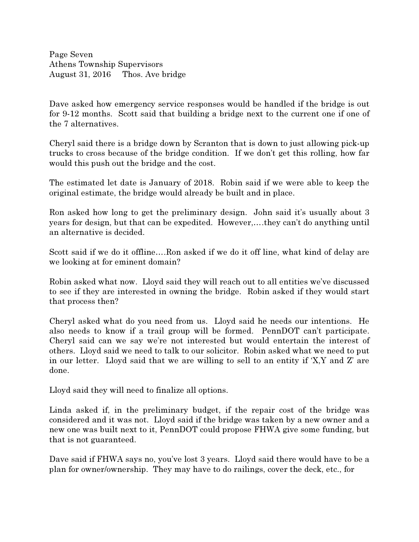Page Seven Athens Township Supervisors August 31, 2016 Thos. Ave bridge

Dave asked how emergency service responses would be handled if the bridge is out for 9-12 months. Scott said that building a bridge next to the current one if one of the 7 alternatives.

Cheryl said there is a bridge down by Scranton that is down to just allowing pick-up trucks to cross because of the bridge condition. If we don't get this rolling, how far would this push out the bridge and the cost.

The estimated let date is January of 2018. Robin said if we were able to keep the original estimate, the bridge would already be built and in place.

Ron asked how long to get the preliminary design. John said it's usually about 3 years for design, but that can be expedited. However,….they can't do anything until an alternative is decided.

Scott said if we do it offline....Ron asked if we do it off line, what kind of delay are we looking at for eminent domain?

Robin asked what now. Lloyd said they will reach out to all entities we've discussed to see if they are interested in owning the bridge. Robin asked if they would start that process then?

Cheryl asked what do you need from us. Lloyd said he needs our intentions. He also needs to know if a trail group will be formed. PennDOT can't participate. Cheryl said can we say we're not interested but would entertain the interest of others. Lloyd said we need to talk to our solicitor. Robin asked what we need to put in our letter. Lloyd said that we are willing to sell to an entity if 'X,Y and Z' are done.

Lloyd said they will need to finalize all options.

Linda asked if, in the preliminary budget, if the repair cost of the bridge was considered and it was not. Lloyd said if the bridge was taken by a new owner and a new one was built next to it, PennDOT could propose FHWA give some funding, but that is not guaranteed.

Dave said if FHWA says no, you've lost 3 years. Lloyd said there would have to be a plan for owner/ownership. They may have to do railings, cover the deck, etc., for